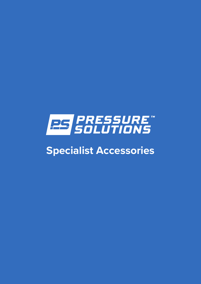

# **Specialist Accessories**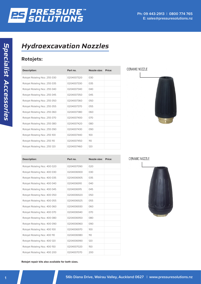

## *Hydroexcavation Nozzles*

### **Rotojets:**

| <b>Description:</b>           | Part no.   | Nozzle size: | Price: |
|-------------------------------|------------|--------------|--------|
| Rotojet Rotating Noz. 255 030 | 0204007320 | 030          |        |
| Rotojet Rotating Noz. 255 035 | 0204007330 | 035          |        |
| Rotojet Rotating Noz. 255 040 | 0204007340 | 040          |        |
| Rotojet Rotating Noz. 255 045 | 0204007350 | 045          |        |
| Rotojet Rotating Noz. 255 050 | 0204007360 | 050          |        |
| Rotojet Rotating Noz. 255 055 | 0204007370 | 055          |        |
| Rotojet Rotating Noz. 255 060 | 0204007380 | 060          |        |
| Rotojet Rotating Noz. 255 070 | 0204007400 | 070          |        |
| Rotojet Rotating Noz. 255 080 | 0204007420 | 080          |        |
| Rotojet Rotating Noz. 255 090 | 0204007430 | 090          |        |
| Rotojet Rotating Noz. 255 100 | 0204007440 | 100          |        |
| Rotojet Rotating Noz. 255 110 | 0204007450 | 110          |        |
| Rotojet Rotating Noz. 255 120 | 0204007460 | 120          |        |



| <b>Description:</b>           | Part no.   | Nozzle size: Price: |  |
|-------------------------------|------------|---------------------|--|
| Rotojet Rotating Noz. 400 020 | 0204007090 | 020                 |  |
| Rotojet Rotating Noz. 400 030 | 0204006900 | 030                 |  |
| Rotojet Rotating Noz. 400 035 | 0204006905 | 035                 |  |
| Rotojet Rotating Noz. 400 040 | 0204006910 | 040                 |  |
| Rotojet Rotating Noz. 400 045 | 0204006915 | 045                 |  |
| Rotojet Rotating Noz. 400 050 | 0204006920 | 050                 |  |
| Rotojet Rotating Noz. 400 055 | 0204006925 | 055                 |  |
| Rotojet Rotating Noz. 400 060 | 0204006930 | 060                 |  |
| Rotojet Rotating Noz. 400 070 | 0204006940 | 070                 |  |
| Rotojet Rotating Noz. 400 080 | 0204006950 | 080                 |  |
| Rotojet Rotating Noz. 400 090 | 0204006960 | 090                 |  |
| Rotojet Rotating Noz. 400 100 | 0204006970 | 100                 |  |
| Rotojet Rotating Noz. 400 110 | 0204006980 | 110                 |  |
| Rotojet Rotating Noz. 400 120 | 0204006990 | 120                 |  |
| Rotojet Rotating Noz. 400 150 | 0204007020 | 150                 |  |
| Rotojet Rotating Noz. 400 200 | 0204007070 | 200                 |  |



**Rotojet repair kits also available for both sizes.**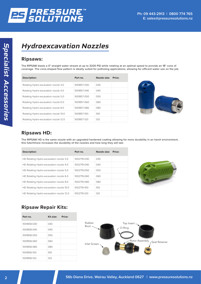

## *Hydroexcavation Nozzles*

#### **Ripsaws:**

The RIPSAW blasts a 0° straight water stream at up to 3200 PSI while rotating at an optimal speed to provide an 18° cone of coverage. The cone-shaped flow pattern is ideally suited for potholing applications, allowing for efficent water use on the job.

| <b>Description:</b>                   | Part no.    | Nozzle size: | Price: |
|---------------------------------------|-------------|--------------|--------|
| Rotating Hydro-excavation nozzle 3.0  | 1001857-030 | 030          |        |
| Rotating Hydro-excavation nozzle 4.0  | 1001857-040 | 040          |        |
| Rotating Hydro-excavation nozzle 5.0  | 1001857-050 | 050          |        |
| Rotating Hydro-excavation nozzle 6.0  | 1001857-060 | 060          |        |
| Rotating Hydro-excavation nozzle 8.0  | 1001857-080 | 080          |        |
| Rotating Hydro-excavation nozzle 10.0 | 1001857-100 | 100          |        |
| Rotating Hydro-excavation nozzle 12.0 | 1001857-120 | 120          |        |



#### **Ripsaws HD:** the coating of

.<br>The RIPSAW HD is the same nozzle with an upgraded hardened coating allowing for more durability in an harsh environment, this futerhmore increases the durability of the nozzles and how long they will last. nty in an nais<br>. The BIBSAW HD is

| <b>Description:</b>                      | Part no.    | Nozzle size: Price: |  |
|------------------------------------------|-------------|---------------------|--|
| HD Rotating Hydro-excavation nozzle 3.0  | 1002719-030 | 030                 |  |
| HD Rotating Hydro-excavation nozzle 4.0  | 1002719-040 | 040                 |  |
| HD Rotating Hydro-excavation nozzle 5.0  | 1002719-050 | 050                 |  |
| HD Rotating Hydro-excavation nozzle 6.0  | 1002719-060 | 060                 |  |
| HD Rotating Hydro-excavation nozzle 8.0  | 1002719-080 | 080                 |  |
| HD Rotating Hydro-excavation nozzle 10.0 | 1002719-100 | 100 <sub>o</sub>    |  |
| HD Rotating Hydro-excavation nozzle 12.0 | 1002719-120 | 120                 |  |



### **Ripsaw Repair Kits:** 12.0 1001858-120 6.0 GPM 8.5 GPM 8.5 GPM 8.5 GPM 8.5 GPM 8.5 GPM 8.5 GPM 9.5 GPM 8.5 GPM 8.5 GPM 8.5 GPM 8.5 GPM 8.5 GPM 8.5 GPM 8.5 GPM 8.5 GPM 8.5 GPM 8.5 GPM 8.5 GPM 8.5 GPM 8.5 GPM 8.5 GPM 8.5 GPM

| Part no.    | Kit size: | Price: |
|-------------|-----------|--------|
| 1001858-030 | 030       |        |
| 1001858-040 | 040       |        |
| 1001858-050 | 050       |        |
| 1001858-060 | 060       |        |
| 1001858-080 | 080       |        |
| 1001858-100 | 100       |        |
| 1001858-120 | 120       |        |



10 PACK OF DOME INLET SCREENS